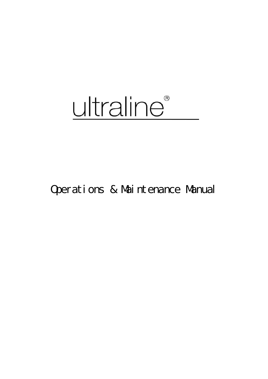# ultraline®

Operations & Maintenance Manual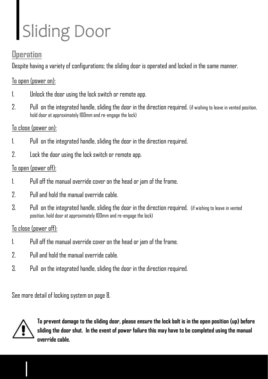## Sliding Door

### **Operation**

Despite having a variety of configurations; the sliding door is operated and locked in the same manner.

#### To open (power on):

- 1. Unlock the door using the lockswitch or remote app.
- hold door at approximately 100mm and re-engage the lock) 2. Pull on the integrated handle, sliding the door in the directionrequired. (if wishing to leave in vented position,

### To close (power on):

- 1. Pull on the integrated handle, sliding the door in the direction required.
- 2. Lock the door using the lock switch or remote app.

### To open (power off):

- 1. Pull off the manual override cover on the head or jam of the frame.
- 2. Pull and hold the manual override cable.
- 3. Pull on the integrated handle, sliding the door in the direction required. (if wishing to leave in vented position, hold door at approximately 100mm and re-engage the lock)

### $T_n$  close (power off):

- 1. Pull off the manual override cover on the head or jam of the frame.
- 2. Pull and hold the manual override cable.
- 3. Pull on the integrated handle, sliding the door in the direction required.

See more detail of locking system on page 8.



**To prevent damage to the sliding door, please ensure the lock bolt is in the open position (up) before sliding the door shut. In the event of power failure this may have to be completed using the manual override cable.**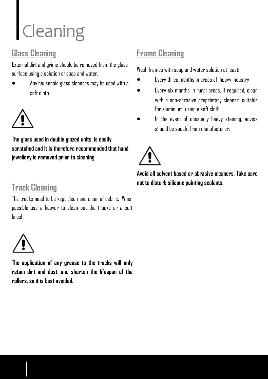### Cleaning

### **Glass Cleaning**

External dirt and grime should be removed from the glass surface using a solution of soap and water.

• Any household glass cleaners may be used with a soft cloth



**The glass used in double glazed units, is easily scratched and it is therefore recommended that hand jewellery is removed prior to cleaning**

### **Track Cleaning**

The tracks need to be kept clean and clear of debris. When possible use a hoover to clean out the tracks or a soft brush.



**The application of any grease to the tracks will only retain dirt and dust, and shorten the lifespan of the rollers, so it is best avoided.**

### **Frame Cleaning**

Wash frames with soan and water solution at least:-

- Every three months in areas of heavy industry
- Every six months in rural areas, if required, clean with a non-abrasive proprietary cleaner, suitable for aluminium, using a soft cloth.
- In the event of unusually heavy staining, advice should be sought from manufacturer.



**Avoid all solvent based or abrasive cleaners. Take care not to disturb silicone pointing sealants.**